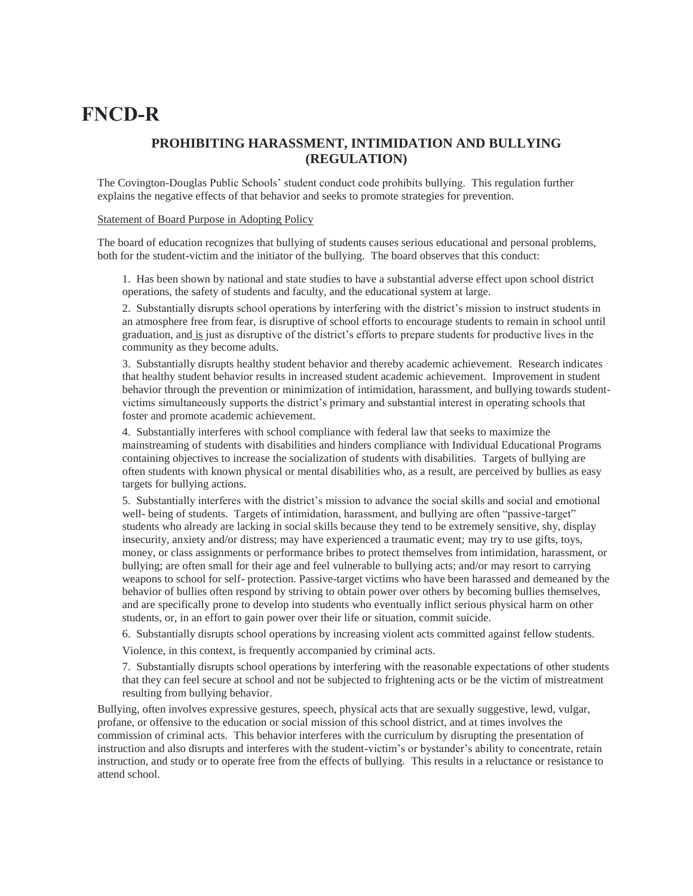# **FNCD-R**

# **PROHIBITING HARASSMENT, INTIMIDATION AND BULLYING (REGULATION)**

The Covington-Douglas Public Schools' student conduct code prohibits bullying. This regulation further explains the negative effects of that behavior and seeks to promote strategies for prevention.

## Statement of Board Purpose in Adopting Policy

The board of education recognizes that bullying of students causes serious educational and personal problems, both for the student-victim and the initiator of the bullying. The board observes that this conduct:

1. Has been shown by national and state studies to have a substantial adverse effect upon school district operations, the safety of students and faculty, and the educational system at large.

2. Substantially disrupts school operations by interfering with the district's mission to instruct students in an atmosphere free from fear, is disruptive of school efforts to encourage students to remain in school until graduation, and is just as disruptive of the district's efforts to prepare students for productive lives in the community as they become adults.

3. Substantially disrupts healthy student behavior and thereby academic achievement. Research indicates that healthy student behavior results in increased student academic achievement. Improvement in student behavior through the prevention or minimization of intimidation, harassment, and bullying towards studentvictims simultaneously supports the district's primary and substantial interest in operating schools that foster and promote academic achievement.

4. Substantially interferes with school compliance with federal law that seeks to maximize the mainstreaming of students with disabilities and hinders compliance with Individual Educational Programs containing objectives to increase the socialization of students with disabilities. Targets of bullying are often students with known physical or mental disabilities who, as a result, are perceived by bullies as easy targets for bullying actions.

5. Substantially interferes with the district's mission to advance the social skills and social and emotional well- being of students. Targets of intimidation, harassment, and bullying are often "passive-target" students who already are lacking in social skills because they tend to be extremely sensitive, shy, display insecurity, anxiety and/or distress; may have experienced a traumatic event; may try to use gifts, toys, money, or class assignments or performance bribes to protect themselves from intimidation, harassment, or bullying; are often small for their age and feel vulnerable to bullying acts; and/or may resort to carrying weapons to school for self- protection. Passive-target victims who have been harassed and demeaned by the behavior of bullies often respond by striving to obtain power over others by becoming bullies themselves, and are specifically prone to develop into students who eventually inflict serious physical harm on other students, or, in an effort to gain power over their life or situation, commit suicide.

6. Substantially disrupts school operations by increasing violent acts committed against fellow students.

Violence, in this context, is frequently accompanied by criminal acts.

7. Substantially disrupts school operations by interfering with the reasonable expectations of other students that they can feel secure at school and not be subjected to frightening acts or be the victim of mistreatment resulting from bullying behavior.

Bullying, often involves expressive gestures, speech, physical acts that are sexually suggestive, lewd, vulgar, profane, or offensive to the education or social mission of this school district, and at times involves the commission of criminal acts. This behavior interferes with the curriculum by disrupting the presentation of instruction and also disrupts and interferes with the student-victim's or bystander's ability to concentrate, retain instruction, and study or to operate free from the effects of bullying. This results in a reluctance or resistance to attend school.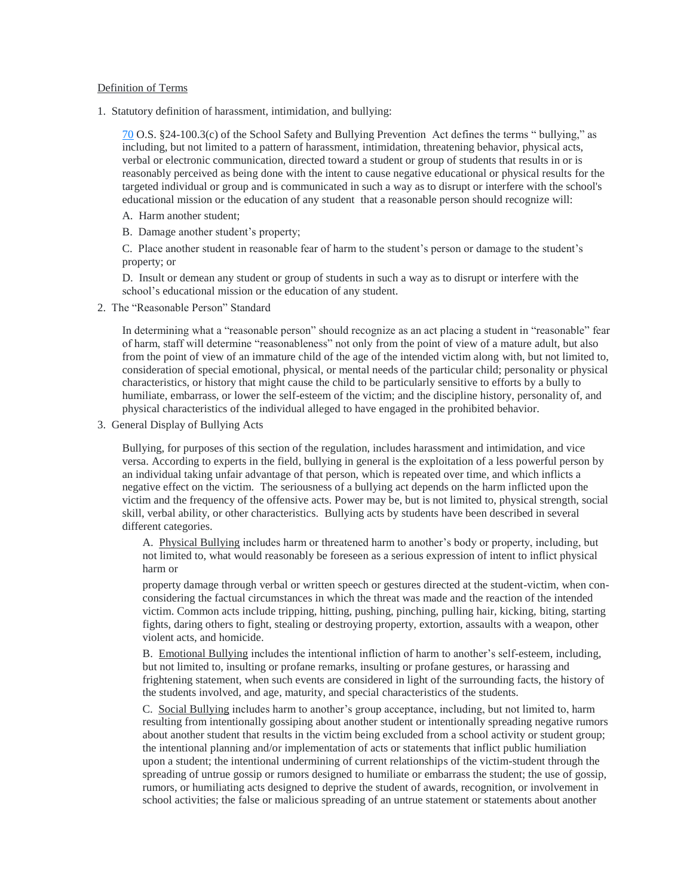#### Definition of Terms

1. Statutory definition of harassment, intimidation, and bullying:

[70](http://www.oscn.net/applications/oscn/index.asp?ftdb=STOKST70&level=1) O.S. §24-100.3(c) of the School Safety and Bullying Prevention Act defines the terms " bullying," as including, but not limited to a pattern of harassment, intimidation, threatening behavior, physical acts, verbal or electronic communication, directed toward a student or group of students that results in or is reasonably perceived as being done with the intent to cause negative educational or physical results for the targeted individual or group and is communicated in such a way as to disrupt or interfere with the school's educational mission or the education of any student that a reasonable person should recognize will:

- A. Harm another student;
- B. Damage another student's property;

C. Place another student in reasonable fear of harm to the student's person or damage to the student's property; or

D. Insult or demean any student or group of students in such a way as to disrupt or interfere with the school's educational mission or the education of any student.

2. The "Reasonable Person" Standard

In determining what a "reasonable person" should recognize as an act placing a student in "reasonable" fear of harm, staff will determine "reasonableness" not only from the point of view of a mature adult, but also from the point of view of an immature child of the age of the intended victim along with, but not limited to, consideration of special emotional, physical, or mental needs of the particular child; personality or physical characteristics, or history that might cause the child to be particularly sensitive to efforts by a bully to humiliate, embarrass, or lower the self-esteem of the victim; and the discipline history, personality of, and physical characteristics of the individual alleged to have engaged in the prohibited behavior.

3. General Display of Bullying Acts

Bullying, for purposes of this section of the regulation, includes harassment and intimidation, and vice versa. According to experts in the field, bullying in general is the exploitation of a less powerful person by an individual taking unfair advantage of that person, which is repeated over time, and which inflicts a negative effect on the victim. The seriousness of a bullying act depends on the harm inflicted upon the victim and the frequency of the offensive acts. Power may be, but is not limited to, physical strength, social skill, verbal ability, or other characteristics. Bullying acts by students have been described in several different categories.

A. Physical Bullying includes harm or threatened harm to another's body or property, including, but not limited to, what would reasonably be foreseen as a serious expression of intent to inflict physical harm or

property damage through verbal or written speech or gestures directed at the student-victim, when conconsidering the factual circumstances in which the threat was made and the reaction of the intended victim. Common acts include tripping, hitting, pushing, pinching, pulling hair, kicking, biting, starting fights, daring others to fight, stealing or destroying property, extortion, assaults with a weapon, other violent acts, and homicide.

B. Emotional Bullying includes the intentional infliction of harm to another's self-esteem, including, but not limited to, insulting or profane remarks, insulting or profane gestures, or harassing and frightening statement, when such events are considered in light of the surrounding facts, the history of the students involved, and age, maturity, and special characteristics of the students.

C. Social Bullying includes harm to another's group acceptance, including, but not limited to, harm resulting from intentionally gossiping about another student or intentionally spreading negative rumors about another student that results in the victim being excluded from a school activity or student group; the intentional planning and/or implementation of acts or statements that inflict public humiliation upon a student; the intentional undermining of current relationships of the victim-student through the spreading of untrue gossip or rumors designed to humiliate or embarrass the student; the use of gossip, rumors, or humiliating acts designed to deprive the student of awards, recognition, or involvement in school activities; the false or malicious spreading of an untrue statement or statements about another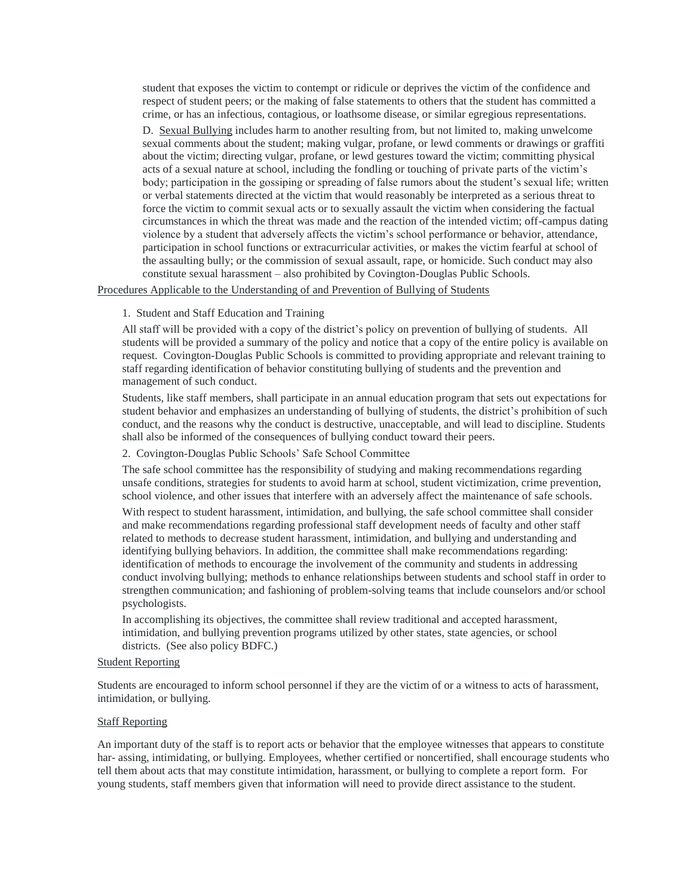student that exposes the victim to contempt or ridicule or deprives the victim of the confidence and respect of student peers; or the making of false statements to others that the student has committed a crime, or has an infectious, contagious, or loathsome disease, or similar egregious representations.

D. Sexual Bullying includes harm to another resulting from, but not limited to, making unwelcome sexual comments about the student; making vulgar, profane, or lewd comments or drawings or graffiti about the victim; directing vulgar, profane, or lewd gestures toward the victim; committing physical acts of a sexual nature at school, including the fondling or touching of private parts of the victim's body; participation in the gossiping or spreading of false rumors about the student's sexual life; written or verbal statements directed at the victim that would reasonably be interpreted as a serious threat to force the victim to commit sexual acts or to sexually assault the victim when considering the factual circumstances in which the threat was made and the reaction of the intended victim; off-campus dating violence by a student that adversely affects the victim's school performance or behavior, attendance, participation in school functions or extracurricular activities, or makes the victim fearful at school of the assaulting bully; or the commission of sexual assault, rape, or homicide. Such conduct may also constitute sexual harassment – also prohibited by Covington-Douglas Public Schools.

#### Procedures Applicable to the Understanding of and Prevention of Bullying of Students

#### 1. Student and Staff Education and Training

All staff will be provided with a copy of the district's policy on prevention of bullying of students. All students will be provided a summary of the policy and notice that a copy of the entire policy is available on request. Covington-Douglas Public Schools is committed to providing appropriate and relevant training to staff regarding identification of behavior constituting bullying of students and the prevention and management of such conduct.

Students, like staff members, shall participate in an annual education program that sets out expectations for student behavior and emphasizes an understanding of bullying of students, the district's prohibition of such conduct, and the reasons why the conduct is destructive, unacceptable, and will lead to discipline. Students shall also be informed of the consequences of bullying conduct toward their peers.

#### 2. Covington-Douglas Public Schools' Safe School Committee

The safe school committee has the responsibility of studying and making recommendations regarding unsafe conditions, strategies for students to avoid harm at school, student victimization, crime prevention, school violence, and other issues that interfere with an adversely affect the maintenance of safe schools.

With respect to student harassment, intimidation, and bullying, the safe school committee shall consider and make recommendations regarding professional staff development needs of faculty and other staff related to methods to decrease student harassment, intimidation, and bullying and understanding and identifying bullying behaviors. In addition, the committee shall make recommendations regarding: identification of methods to encourage the involvement of the community and students in addressing conduct involving bullying; methods to enhance relationships between students and school staff in order to strengthen communication; and fashioning of problem-solving teams that include counselors and/or school psychologists.

In accomplishing its objectives, the committee shall review traditional and accepted harassment, intimidation, and bullying prevention programs utilized by other states, state agencies, or school districts. (See also policy BDFC.)

#### Student Reporting

Students are encouraged to inform school personnel if they are the victim of or a witness to acts of harassment, intimidation, or bullying.

#### Staff Reporting

An important duty of the staff is to report acts or behavior that the employee witnesses that appears to constitute har- assing, intimidating, or bullying. Employees, whether certified or noncertified, shall encourage students who tell them about acts that may constitute intimidation, harassment, or bullying to complete a report form. For young students, staff members given that information will need to provide direct assistance to the student.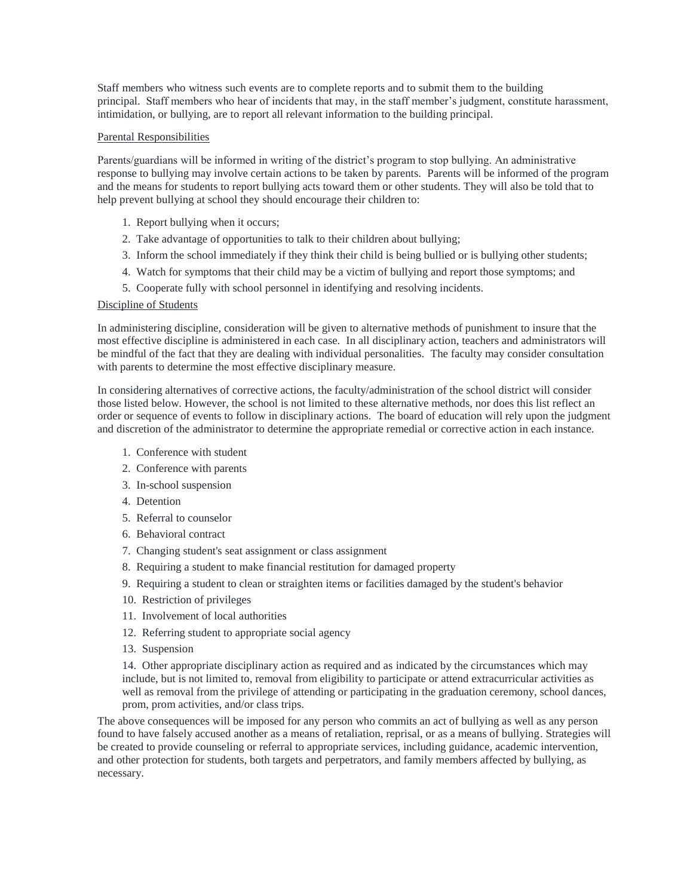Staff members who witness such events are to complete reports and to submit them to the building principal. Staff members who hear of incidents that may, in the staff member's judgment, constitute harassment, intimidation, or bullying, are to report all relevant information to the building principal.

#### Parental Responsibilities

Parents/guardians will be informed in writing of the district's program to stop bullying. An administrative response to bullying may involve certain actions to be taken by parents. Parents will be informed of the program and the means for students to report bullying acts toward them or other students. They will also be told that to help prevent bullying at school they should encourage their children to:

- 1. Report bullying when it occurs;
- 2. Take advantage of opportunities to talk to their children about bullying;
- 3. Inform the school immediately if they think their child is being bullied or is bullying other students;
- 4. Watch for symptoms that their child may be a victim of bullying and report those symptoms; and
- 5. Cooperate fully with school personnel in identifying and resolving incidents.

#### Discipline of Students

In administering discipline, consideration will be given to alternative methods of punishment to insure that the most effective discipline is administered in each case. In all disciplinary action, teachers and administrators will be mindful of the fact that they are dealing with individual personalities. The faculty may consider consultation with parents to determine the most effective disciplinary measure.

In considering alternatives of corrective actions, the faculty/administration of the school district will consider those listed below. However, the school is not limited to these alternative methods, nor does this list reflect an order or sequence of events to follow in disciplinary actions. The board of education will rely upon the judgment and discretion of the administrator to determine the appropriate remedial or corrective action in each instance.

- 1. Conference with student
- 2. Conference with parents
- 3. In-school suspension
- 4. Detention
- 5. Referral to counselor
- 6. Behavioral contract
- 7. Changing student's seat assignment or class assignment
- 8. Requiring a student to make financial restitution for damaged property
- 9. Requiring a student to clean or straighten items or facilities damaged by the student's behavior
- 10. Restriction of privileges
- 11. Involvement of local authorities
- 12. Referring student to appropriate social agency
- 13. Suspension

14. Other appropriate disciplinary action as required and as indicated by the circumstances which may include, but is not limited to, removal from eligibility to participate or attend extracurricular activities as well as removal from the privilege of attending or participating in the graduation ceremony, school dances, prom, prom activities, and/or class trips.

The above consequences will be imposed for any person who commits an act of bullying as well as any person found to have falsely accused another as a means of retaliation, reprisal, or as a means of bullying. Strategies will be created to provide counseling or referral to appropriate services, including guidance, academic intervention, and other protection for students, both targets and perpetrators, and family members affected by bullying, as necessary.